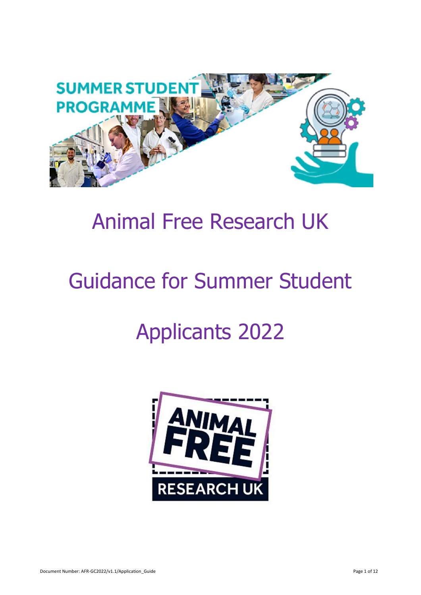

# Animal Free Research UK

# Guidance for Summer Student

# Applicants 2022

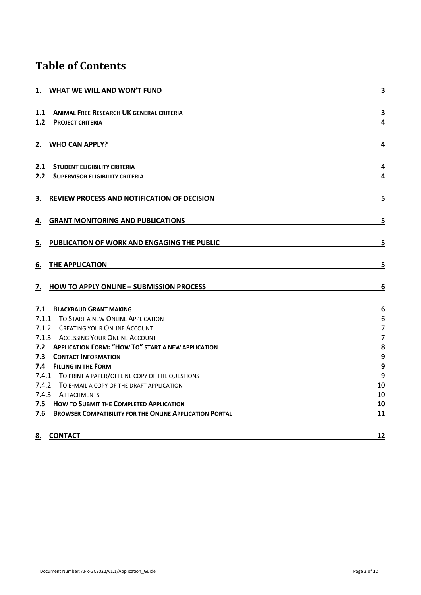# **Table of Contents**

| 1. WHAT WE WILL AND WON'T FUND                              | 3                       |
|-------------------------------------------------------------|-------------------------|
| <b>ANIMAL FREE RESEARCH UK GENERAL CRITERIA</b><br>1.1      | $\overline{\mathbf{3}}$ |
| 1.2<br><b>PROJECT CRITERIA</b>                              | $\overline{\mathbf{4}}$ |
| <b>WHO CAN APPLY?</b><br>2.                                 | 4                       |
| 2.1 STUDENT ELIGIBILITY CRITERIA                            | 4                       |
| 2.2 SUPERVISOR ELIGIBILITY CRITERIA                         | 4                       |
| REVIEW PROCESS AND NOTIFICATION OF DECISION<br>З.           | 5                       |
| <b>GRANT MONITORING AND PUBLICATIONS</b><br>4.              | 5                       |
| PUBLICATION OF WORK AND ENGAGING THE PUBLIC<br>5.           | 5                       |
| THE APPLICATION<br>6.                                       | 5                       |
| <b>HOW TO APPLY ONLINE - SUBMISSION PROCESS</b><br>7.       | 6                       |
| 7.1<br><b>BLACKBAUD GRANT MAKING</b>                        | 6                       |
| 7.1.1 TO START A NEW ONLINE APPLICATION                     | 6                       |
| 7.1.2 CREATING YOUR ONLINE ACCOUNT                          | $\overline{7}$          |
| 7.1.3 ACCESSING YOUR ONLINE ACCOUNT                         | $\overline{7}$          |
| 7.2 APPLICATION FORM: "HOW TO" START A NEW APPLICATION      | 8                       |
| 7.3<br><b>CONTACT INFORMATION</b>                           | 9                       |
| 7.4 FILLING IN THE FORM                                     | 9                       |
| 7.4.1 TO PRINT A PAPER/OFFLINE COPY OF THE QUESTIONS        | 9                       |
| 7.4.2 TO E-MAIL A COPY OF THE DRAFT APPLICATION             | 10                      |
| 7.4.3 ATTACHMENTS                                           | 10                      |
| 7.5 HOW TO SUBMIT THE COMPLETED APPLICATION                 | 10                      |
| 7.6 BROWSER COMPATIBILITY FOR THE ONLINE APPLICATION PORTAL | 11                      |
| <b>CONTACT</b><br>8.                                        | 12                      |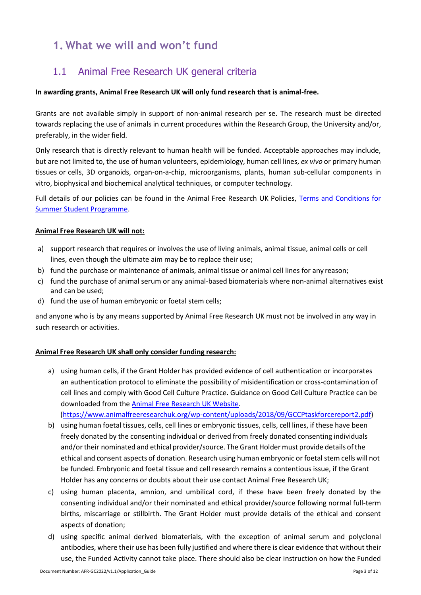# <span id="page-2-0"></span>**1. What we will and won't fund**

## <span id="page-2-1"></span>1.1 Animal Free Research UK general criteria

#### **In awarding grants, Animal Free Research UK will only fund research that is animal-free.**

Grants are not available simply in support of non-animal research per se. The research must be directed towards replacing the use of animals in current procedures within the Research Group, the University and/or, preferably, in the wider field.

Only research that is directly relevant to human health will be funded. Acceptable approaches may include, but are not limited to, the use of human volunteers, epidemiology, human cell lines, *ex vivo* or primary human tissues or cells, 3D organoids, organ-on-a-chip, microorganisms, plants, human sub-cellular components in vitro, biophysical and biochemical analytical techniques, or computer technology.

Full details of our policies can be found in the Animal Free Research UK Policies, [Terms and Conditions for](https://www.animalfreeresearchuk.org/summerstudent/apply-now/)  [Summer Student Programme.](https://www.animalfreeresearchuk.org/summerstudent/apply-now/)

#### **Animal Free Research UK will not:**

- a) support research that requires or involves the use of living animals, animal tissue, animal cells or cell lines, even though the ultimate aim may be to replace their use;
- b) fund the purchase or maintenance of animals, animal tissue or animal cell lines for any reason;
- c) fund the purchase of animal serum or any animal-based biomaterials where non-animal alternatives exist and can be used;
- d) fund the use of human embryonic or foetal stem cells;

and anyone who is by any means supported by Animal Free Research UK must not be involved in any way in such research or activities.

#### **Animal Free Research UK shall only consider funding research:**

a) using human cells, if the Grant Holder has provided evidence of cell authentication or incorporates an authentication protocol to eliminate the possibility of misidentification or cross-contamination of cell lines and comply with Good Cell Culture Practice. Guidance on Good Cell Culture Practice can be downloaded from the [Animal Free Research UK](https://www.animalfreeresearchuk.org/wp-content/uploads/2018/09/GCCPtaskforcereport2.pdf) Website. [\(https://www.animalfreeresearchuk.org/wp-content/uploads/2018/09/GCCPtaskforcereport2.pdf\)](https://www.animalfreeresearchuk.org/wp-content/uploads/2018/09/GCCPtaskforcereport2.pdf)

b) using human foetal tissues, cells, cell lines or embryonic tissues, cells, cell lines, if these have been freely donated by the consenting individual or derived from freely donated consenting individuals and/or their nominated and ethical provider/source. The Grant Holder must provide details ofthe ethical and consent aspects of donation. Research using human embryonic or foetal stem cells will not be funded. Embryonic and foetal tissue and cell research remains a contentious issue, if the Grant Holder has any concerns or doubts about their use contact Animal Free Research UK;

- c) using human placenta, amnion, and umbilical cord, if these have been freely donated by the consenting individual and/or their nominated and ethical provider/source following normal full-term births, miscarriage or stillbirth. The Grant Holder must provide details of the ethical and consent aspects of donation;
- d) using specific animal derived biomaterials, with the exception of animal serum and polyclonal antibodies, where their use has been fully justified and where there is clear evidence that without their use, the Funded Activity cannot take place. There should also be clear instruction on how the Funded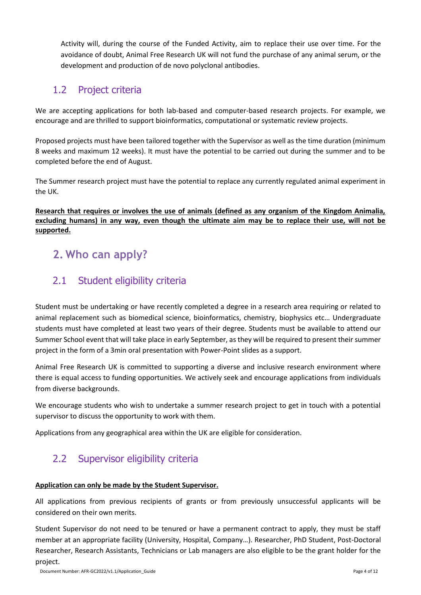Activity will, during the course of the Funded Activity, aim to replace their use over time. For the avoidance of doubt, Animal Free Research UK will not fund the purchase of any animal serum, or the development and production of de novo polyclonal antibodies.

## <span id="page-3-0"></span>1.2 Project criteria

We are accepting applications for both lab-based and computer-based research projects. For example, we encourage and are thrilled to support bioinformatics, computational or systematic review projects.

Proposed projects must have been tailored together with the Supervisor as well as the time duration (minimum 8 weeks and maximum 12 weeks). It must have the potential to be carried out during the summer and to be completed before the end of August.

The Summer research project must have the potential to replace any currently regulated animal experiment in the UK.

**Research that requires or involves the use of animals (defined as any organism of the Kingdom Animalia, excluding humans) in any way, even though the ultimate aim may be to replace their use, will not be supported.**

# <span id="page-3-1"></span>**2. Who can apply?**

## <span id="page-3-2"></span>2.1 Student eligibility criteria

Student must be undertaking or have recently completed a degree in a research area requiring or related to animal replacement such as biomedical science, bioinformatics, chemistry, biophysics etc… Undergraduate students must have completed at least two years of their degree. Students must be available to attend our Summer School event that will take place in early September, as they will be required to present their summer project in the form of a 3min oral presentation with Power-Point slides as a support.

Animal Free Research UK is committed to supporting a diverse and inclusive research environment where there is equal access to funding opportunities. We actively seek and encourage applications from individuals from diverse backgrounds.

We encourage students who wish to undertake a summer research project to get in touch with a potential supervisor to discuss the opportunity to work with them.

Applications from any geographical area within the UK are eligible for consideration.

## <span id="page-3-3"></span>2.2 Supervisor eligibility criteria

### **Application can only be made by the Student Supervisor.**

All applications from previous recipients of grants or from previously unsuccessful applicants will be considered on their own merits.

Student Supervisor do not need to be tenured or have a permanent contract to apply, they must be staff member at an appropriate facility (University, Hospital, Company…). Researcher, PhD Student, Post-Doctoral Researcher, Research Assistants, Technicians or Lab managers are also eligible to be the grant holder for the project.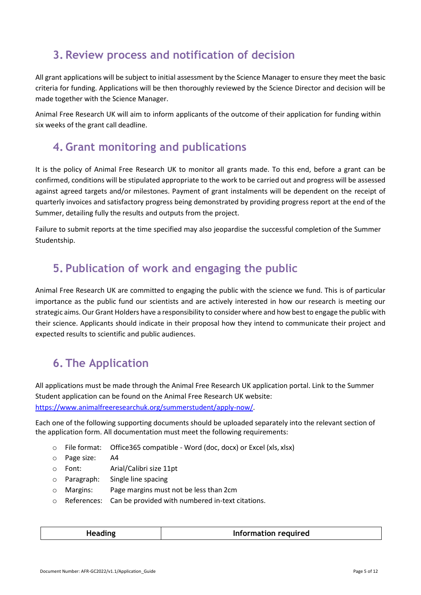# <span id="page-4-0"></span>**3. Review process and notification of decision**

All grant applications will be subject to initial assessment by the Science Manager to ensure they meet the basic criteria for funding. Applications will be then thoroughly reviewed by the Science Director and decision will be made together with the Science Manager.

Animal Free Research UK will aim to inform applicants of the outcome of their application for funding within six weeks of the grant call deadline.

## <span id="page-4-1"></span>**4. Grant monitoring and publications**

It is the policy of Animal Free Research UK to monitor all grants made. To this end, before a grant can be confirmed, conditions will be stipulated appropriate to the work to be carried out and progress will be assessed against agreed targets and/or milestones. Payment of grant instalments will be dependent on the receipt of quarterly invoices and satisfactory progress being demonstrated by providing progress report at the end of the Summer, detailing fully the results and outputs from the project.

Failure to submit reports at the time specified may also jeopardise the successful completion of the Summer Studentship.

## <span id="page-4-2"></span>**5. Publication of work and engaging the public**

Animal Free Research UK are committed to engaging the public with the science we fund. This is of particular importance as the public fund our scientists and are actively interested in how our research is meeting our strategic aims.Our Grant Holders have a responsibility to consider where and how bestto engage the public with their science. Applicants should indicate in their proposal how they intend to communicate their project and expected results to scientific and public audiences.

# <span id="page-4-3"></span>**6. The Application**

All applications must be made through the Animal Free Research UK application portal. Link to the Summer Student application can be found on the Animal Free Research UK website: [https://www.animalfreeresearchuk.org/summerstudent/apply-now/.](https://www.animalfreeresearchuk.org/summerstudent/apply-now/)

Each one of the following supporting documents should be uploaded separately into the relevant section of the application form. All documentation must meet the following requirements:

- o File format: Office365 compatible Word (doc, docx) or Excel (xls, xlsx)
- o Page size: A4
- o Font: Arial/Calibri size 11pt
- o Paragraph: Single line spacing
- o Margins: Page margins must not be less than 2cm
- o References: Can be provided with numbered in-text citations.

| Information required |
|----------------------|
|----------------------|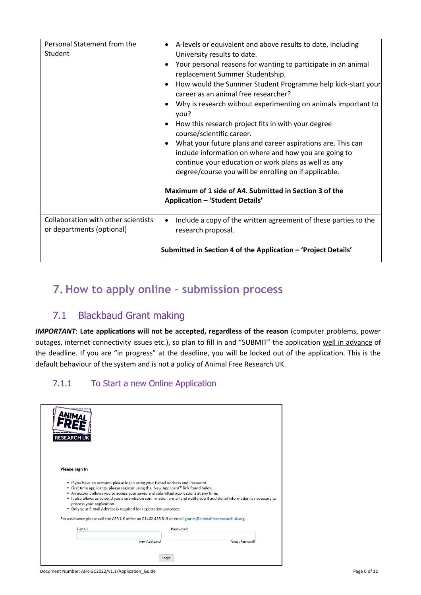| Personal Statement from the<br>Student                           | A-levels or equivalent and above results to date, including<br>$\bullet$<br>University results to date.<br>Your personal reasons for wanting to participate in an animal<br>replacement Summer Studentship.<br>How would the Summer Student Programme help kick-start your<br>$\bullet$<br>career as an animal free researcher?<br>Why is research without experimenting on animals important to<br>٠<br>you?<br>How this research project fits in with your degree<br>course/scientific career.<br>What your future plans and career aspirations are. This can<br>$\bullet$<br>include information on where and how you are going to<br>continue your education or work plans as well as any<br>degree/course you will be enrolling on if applicable.<br>Maximum of 1 side of A4. Submitted in Section 3 of the<br><b>Application - 'Student Details'</b> |
|------------------------------------------------------------------|------------------------------------------------------------------------------------------------------------------------------------------------------------------------------------------------------------------------------------------------------------------------------------------------------------------------------------------------------------------------------------------------------------------------------------------------------------------------------------------------------------------------------------------------------------------------------------------------------------------------------------------------------------------------------------------------------------------------------------------------------------------------------------------------------------------------------------------------------------|
| Collaboration with other scientists<br>or departments (optional) | Include a copy of the written agreement of these parties to the<br>$\bullet$<br>research proposal.<br>Submitted in Section 4 of the Application - 'Project Details'                                                                                                                                                                                                                                                                                                                                                                                                                                                                                                                                                                                                                                                                                        |

## <span id="page-5-0"></span>**7. How to apply online – submission process**

## 7.1 Blackbaud Grant making

<span id="page-5-1"></span>*IMPORTANT*: **Late applications will not be accepted, regardless of the reason** (computer problems, power outages, internet connectivity issues etc.), so plan to fill in and "SUBMIT" the application well in advance of the deadline. If you are "in progress" at the deadline, you will be locked out of the application. This is the default behaviour of the system and is not a policy of Animal Free Research UK.

## <span id="page-5-2"></span>7.1.1 To Start a new Online Application

| <b>RESEARCH UK</b>                                                                                                                                                                                                                                                                                                                                                                                                                                                          |                                                                                                                           |
|-----------------------------------------------------------------------------------------------------------------------------------------------------------------------------------------------------------------------------------------------------------------------------------------------------------------------------------------------------------------------------------------------------------------------------------------------------------------------------|---------------------------------------------------------------------------------------------------------------------------|
| <b>Please Sign In</b>                                                                                                                                                                                                                                                                                                                                                                                                                                                       |                                                                                                                           |
| . If you have an account, please log in using your E-mail Address and Password.<br>. First time applicants, please register using the 'New Applicant?' link found below.<br>. An account allows you to access your saved and submitted applications at any time.<br>process your application.<br>. Only your E-mail Address is required for registration purposes<br>For assistance please call the AFR UK office on 01462 436 819 or email grants@animalfreeresearchuk.org | . It also allows us to send you a submission confirmation e-mail and notify you if additional information is necessary to |
| E-mail                                                                                                                                                                                                                                                                                                                                                                                                                                                                      | Password                                                                                                                  |
| New Applicant?                                                                                                                                                                                                                                                                                                                                                                                                                                                              | Forgot Password?                                                                                                          |
|                                                                                                                                                                                                                                                                                                                                                                                                                                                                             | Login                                                                                                                     |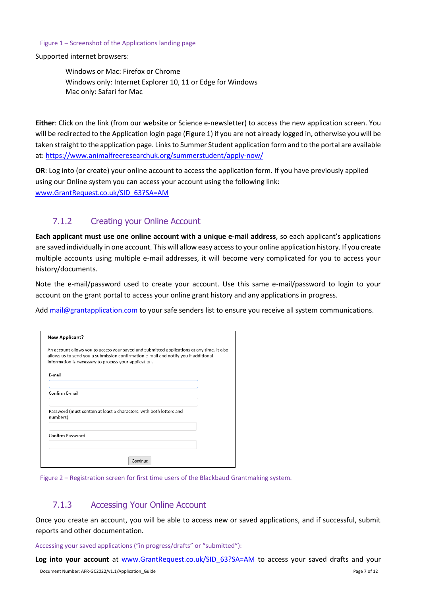#### Figure 1 – Screenshot of the Applications landing page

Supported internet browsers:

Windows or Mac: Firefox or Chrome Windows only: Internet Explorer 10, 11 or Edge for Windows Mac only: Safari for Mac

**Either**: Click on the link (from our website or Science e-newsletter) to access the new application screen. You will be redirected to the Application login page (Figure 1) if you are not already logged in, otherwise you will be taken straight to the application page. Links to Summer Student application form and to the portal are available at: <https://www.animalfreeresearchuk.org/summerstudent/apply-now/>

**OR**: Log into (or create) your online account to access the application form. If you have previously applied using our Online system you can access your account using the following link: [www.GrantRequest.co.uk/SID\\_63?SA=AM](https://www.grantrequest.co.uk/SID_63?SA=AM)

### 7.1.2 Creating your Online Account

<span id="page-6-0"></span>**Each applicant must use one online account with a unique e‐mail address**, so each applicant's applications are saved individually in one account. This will allow easy access to your online application history. If you create multiple accounts using multiple e-mail addresses, it will become very complicated for you to access your history/documents.

Note the e-mail/password used to create your account. Use this same e-mail/password to login to your account on the grant portal to access your online grant history and any applications in progress.

Add [mail@grantapplication.com](mailto:mail@grantapplication.com) to your safe senders list to ensure you receive all system communications.

| <b>New Applicant?</b>                                                                                                                                                                                                                      |  |
|--------------------------------------------------------------------------------------------------------------------------------------------------------------------------------------------------------------------------------------------|--|
| An account allows you to access your saved and submitted applications at any time. It also<br>allows us to send you a submission confirmation e-mail and notify you if additional<br>information is necessary to process your application. |  |
| F-mail                                                                                                                                                                                                                                     |  |
| Confirm F-mail                                                                                                                                                                                                                             |  |
| Password (must contain at least 5 characters, with both letters and<br>numbers)                                                                                                                                                            |  |
| Confirm Password                                                                                                                                                                                                                           |  |
| Continue                                                                                                                                                                                                                                   |  |

Figure 2 – Registration screen for first time users of the Blackbaud Grantmaking system.

### 7.1.3 Accessing Your Online Account

<span id="page-6-1"></span>Once you create an account, you will be able to access new or saved applications, and if successful, submit reports and other documentation.

Accessing your saved applications ("in progress/drafts" or "submitted"):

Log into your account at [www.GrantRequest.co.uk/SID\\_63?SA=AM](https://www.grantrequest.co.uk/SID_63?SA=AM) to access your saved drafts and your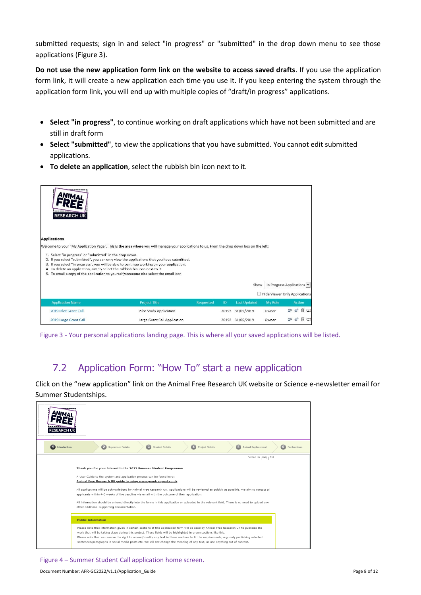submitted requests; sign in and select "in progress" or "submitted" in the drop down menu to see those applications (Figure 3).

**Do not use the new application form link on the website to access saved drafts**. If you use the application form link, it will create a new application each time you use it. If you keep entering the system through the application form link, you will end up with multiple copies of "draft/in progress" applications.

- **Select "in progress"**, to continue working on draft applications which have not been submitted and are still in draft form
- **Select "submitted"**, to view the applications that you have submitted. You cannot edit submitted applications.
- **To delete an application**, select the rubbish bin icon next to it.

| <b>RESEARCH UK</b><br><b>Applications</b>                                                                                                                                                                                                                                                                                                                                                                                 |                                |                  |       |                     |         |                               |
|---------------------------------------------------------------------------------------------------------------------------------------------------------------------------------------------------------------------------------------------------------------------------------------------------------------------------------------------------------------------------------------------------------------------------|--------------------------------|------------------|-------|---------------------|---------|-------------------------------|
| Welcome to your "My Application Page". This is the area where you will manage your applications to us. From the drop down box on the left:                                                                                                                                                                                                                                                                                |                                |                  |       |                     |         |                               |
| 1. Select "in progress" or "submitted" in the drop down.<br>2. If you select "submitted", you can only view the applications that you have submitted.<br>3. If you select "in progress", you will be able to continue working on your application.<br>4. To delete an application, simply select the rubbish bin icon next to it.<br>5. To email a copy of the application to yourself/someone else select the email icon |                                |                  |       |                     |         |                               |
|                                                                                                                                                                                                                                                                                                                                                                                                                           |                                |                  |       | Show                |         | In Progress Applications      |
|                                                                                                                                                                                                                                                                                                                                                                                                                           |                                |                  |       |                     |         | Hide Viewer Only Applications |
| <b>Application Name</b>                                                                                                                                                                                                                                                                                                                                                                                                   | <b>Project Title</b>           | <b>Requested</b> | ID.   | <b>Last Updated</b> | My Role | <b>Action</b>                 |
| 2019 Pilot Grant Call                                                                                                                                                                                                                                                                                                                                                                                                     | <b>Pilot Study Application</b> |                  | 20193 | 31/05/2019          | Owner   | m                             |
| 2019 Large Grant Call                                                                                                                                                                                                                                                                                                                                                                                                     | Large Grant Call Application   |                  | 20192 | 31/05/2019          | Owner   |                               |

Figure 3 ‐ Your personal applications landing page. This is where all your saved applications will be listed.

## <span id="page-7-0"></span>7.2 Application Form: "How To" start a new application

Click on the "new application" link on the Animal Free Research UK website or Science e-newsletter email for Summer Studentships.

| <b>RESEARCH UI</b>  |                                                                                                                                                                                                                                                                                                                                                                                                                                                                                                                                                                                                                                                                |  |
|---------------------|----------------------------------------------------------------------------------------------------------------------------------------------------------------------------------------------------------------------------------------------------------------------------------------------------------------------------------------------------------------------------------------------------------------------------------------------------------------------------------------------------------------------------------------------------------------------------------------------------------------------------------------------------------------|--|
| Introduction<br>GD. | $\bullet$<br>5 Animal Replacement<br>Supervisor Details<br>$\bullet$<br>$\bullet$<br><b>Project Details</b><br>$\left( 6\right)$<br>Declarations<br><b>Student Details</b>                                                                                                                                                                                                                                                                                                                                                                                                                                                                                     |  |
|                     | Contact Us   Help   Exit                                                                                                                                                                                                                                                                                                                                                                                                                                                                                                                                                                                                                                       |  |
|                     | Thank you for your interest in the 2022 Summer Student Programme.<br>A User Guide to the system and application process can be found here:<br>Animal Free Research UK quide to using www.grantreguest.co.uk.<br>All applications will be acknowledged by Animal Free Research UK. Applications will be reviewed as quickly as possible. We aim to contact all<br>applicants within 4-6 weeks of the deadline via email with the outcome of their application.<br>All information should be entered directly into the forms in this application or uploaded in the relevant field. There is no need to upload any<br>other additional supporting documentation. |  |
|                     | <b>Public Information</b>                                                                                                                                                                                                                                                                                                                                                                                                                                                                                                                                                                                                                                      |  |
|                     | Please note that information given in certain sections of this application form will be used by Animal Free Research UK to publicise the<br>work that will be taking place during this project. These fields will be highlighted in green sections like this.<br>Please note that we reserve the right to amend/modify any text in these sections to fit the requirements, e.g. only publishing selected<br>sentences/paragraphs in social media posts etc. We will not change the meaning of any text, or use anything out of context.                                                                                                                        |  |

Figure 4 – Summer Student Call application home screen.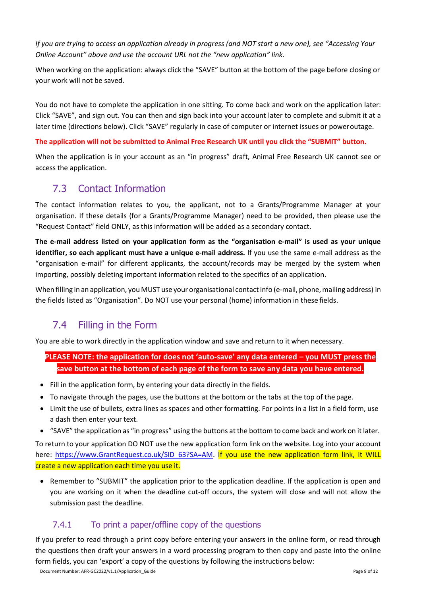*If you are trying to access an application already in progress (and NOT start a new one), see "Accessing Your Online Account" above and use the account URL not the "new application" link.*

When working on the application: always click the "SAVE" button at the bottom of the page before closing or your work will not be saved.

You do not have to complete the application in one sitting. To come back and work on the application later: Click "SAVE", and sign out. You can then and sign back into your account later to complete and submit it at a later time (directions below). Click "SAVE" regularly in case of computer or internet issues or poweroutage.

#### **The application will not be submitted to Animal Free Research UK until you click the "SUBMIT" button.**

When the application is in your account as an "in progress" draft, Animal Free Research UK cannot see or access the application.

## <span id="page-8-0"></span>7.3 Contact Information

The contact information relates to you, the applicant, not to a Grants/Programme Manager at your organisation. If these details (for a Grants/Programme Manager) need to be provided, then please use the "Request Contact" field ONLY, as this information will be added as a secondary contact.

**The e‐mail address listed on your application form as the "organisation e‐mail" is used as your unique identifier, so each applicant must have a unique e‐mail address.** If you use the same e-mail address as the "organisation e-mail" for different applicants, the account/records may be merged by the system when importing, possibly deleting important information related to the specifics of an application.

When filling in an application, you MUST use your organisational contact info (e-mail, phone, mailing address) in the fields listed as "Organisation". Do NOT use your personal (home) information in these fields.

## 7.4 Filling in the Form

<span id="page-8-1"></span>You are able to work directly in the application window and save and return to it when necessary.

**PLEASE NOTE: the application for does not 'auto‐save' any data entered – you MUST press the save button at the bottom of each page of the form to save any data you have entered.**

- Fill in the application form, by entering your data directly in the fields.
- To navigate through the pages, use the buttons at the bottom or the tabs at the top of the page.
- Limit the use of bullets, extra lines as spaces and other formatting. For points in a list in a field form, use a dash then enter your text.
- "SAVE" the application as "in progress" using the buttons at the bottom to come back and work on it later.

To return to your application DO NOT use the new application form link on the website. Log into your account here: https:/[/www.GrantRequest.co.uk/SID\\_63?SA=AM.](http://www.grantrequest.co.uk/SID_63?SA=AM) If you use the new application form link, it WILL create a new application each time you use it.

• Remember to "SUBMIT" the application prior to the application deadline. If the application is open and you are working on it when the deadline cut-off occurs, the system will close and will not allow the submission past the deadline.

## 7.4.1 To print a paper/offline copy of the questions

<span id="page-8-2"></span>If you prefer to read through a print copy before entering your answers in the online form, or read through the questions then draft your answers in a word processing program to then copy and paste into the online form fields, you can 'export' a copy of the questions by following the instructions below: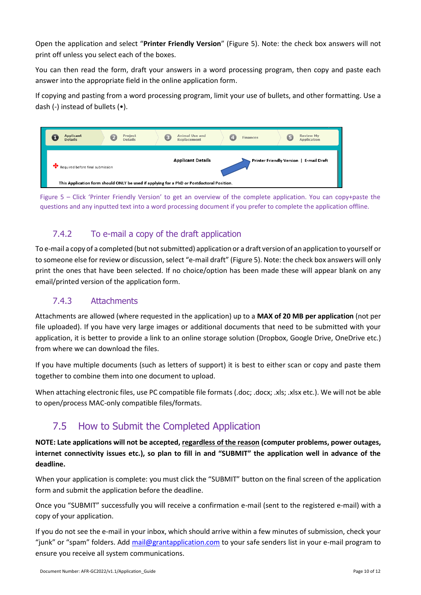Open the application and select "**Printer Friendly Version**" (Figure 5). Note: the check box answers will not print off unless you select each of the boxes.

You can then read the form, draft your answers in a word processing program, then copy and paste each answer into the appropriate field in the online application form.

If copying and pasting from a word processing program, limit your use of bullets, and other formatting. Use a dash (-) instead of bullets (•).



Figure 5 – Click 'Printer Friendly Version' to get an overview of the complete application. You can copy+paste the questions and any inputted text into a word processing document if you prefer to complete the application offline.

## 7.4.2 To e-mail a copy of the draft application

<span id="page-9-0"></span>To e-mail a copy of a completed (but not submitted) application or a draft version of an application to yourself or to someone else for review or discussion, select "e-mail draft" (Figure 5). Note: the check box answers will only print the ones that have been selected. If no choice/option has been made these will appear blank on any email/printed version of the application form.

## 7.4.3 Attachments

<span id="page-9-1"></span>Attachments are allowed (where requested in the application) up to a **MAX of 20 MB per application** (not per file uploaded). If you have very large images or additional documents that need to be submitted with your application, it is better to provide a link to an online storage solution (Dropbox, Google Drive, OneDrive etc.) from where we can download the files.

If you have multiple documents (such as letters of support) it is best to either scan or copy and paste them together to combine them into one document to upload.

When attaching electronic files, use PC compatible file formats (.doc; .docx; .xls; .xlsx etc.). We will not be able to open/process MAC-only compatible files/formats.

## 7.5 How to Submit the Completed Application

<span id="page-9-2"></span>**NOTE: Late applications will not be accepted, regardless of the reason (computer problems, power outages, internet connectivity issues etc.), so plan to fill in and "SUBMIT" the application well in advance of the deadline.**

When your application is complete: you must click the "SUBMIT" button on the final screen of the application form and submit the application before the deadline.

Once you "SUBMIT" successfully you will receive a confirmation e-mail (sent to the registered e-mail) with a copy of your application.

If you do not see the e-mail in your inbox, which should arrive within a few minutes of submission, check your "junk" or "spam" folders. Add [mail@grantapplication.com](mailto:mail@grantapplication.com) to your safe senders list in your e-mail program to ensure you receive all system communications.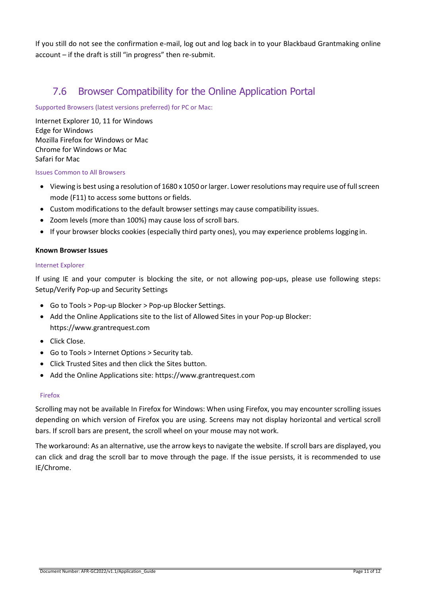If you still do not see the confirmation e-mail, log out and log back in to your Blackbaud Grantmaking online account – if the draft is still "in progress" then re-submit.

## 7.6 Browser Compatibility for the Online Application Portal

<span id="page-10-0"></span>Supported Browsers (latest versions preferred) for PC or Mac:

Internet Explorer 10, 11 for Windows Edge for Windows Mozilla Firefox for Windows or Mac Chrome for Windows or Mac Safari for Mac

Issues Common to All Browsers

- Viewing is best using a resolution of 1680 x 1050 or larger. Lower resolutions may require use of full screen mode (F11) to access some buttons or fields.
- Custom modifications to the default browser settings may cause compatibility issues.
- Zoom levels (more than 100%) may cause loss of scroll bars.
- If your browser blocks cookies (especially third party ones), you may experience problems logging in.

#### **Known Browser Issues**

#### Internet Explorer

If using IE and your computer is blocking the site, or not allowing pop-ups, please use following steps: Setup/Verify Pop-up and Security Settings

- Go to Tools > Pop-up Blocker > Pop-up Blocker Settings.
- Add the Online Applications site to the list of Allowed Sites in your Pop-up Blocker: https:/[/www.grantrequest.com](http://www.grantrequest.com/)
- Click Close.
- Go to Tools > Internet Options > Security tab.
- Click Trusted Sites and then click the Sites button.
- Add the Online Applications site: https:/[/www.grantrequest.com](http://www.grantrequest.com/)

#### Firefox

Scrolling may not be available In Firefox for Windows: When using Firefox, you may encounter scrolling issues depending on which version of Firefox you are using. Screens may not display horizontal and vertical scroll bars. If scroll bars are present, the scroll wheel on your mouse may not work.

The workaround: As an alternative, use the arrow keys to navigate the website. If scroll bars are displayed, you can click and drag the scroll bar to move through the page. If the issue persists, it is recommended to use IE/Chrome.